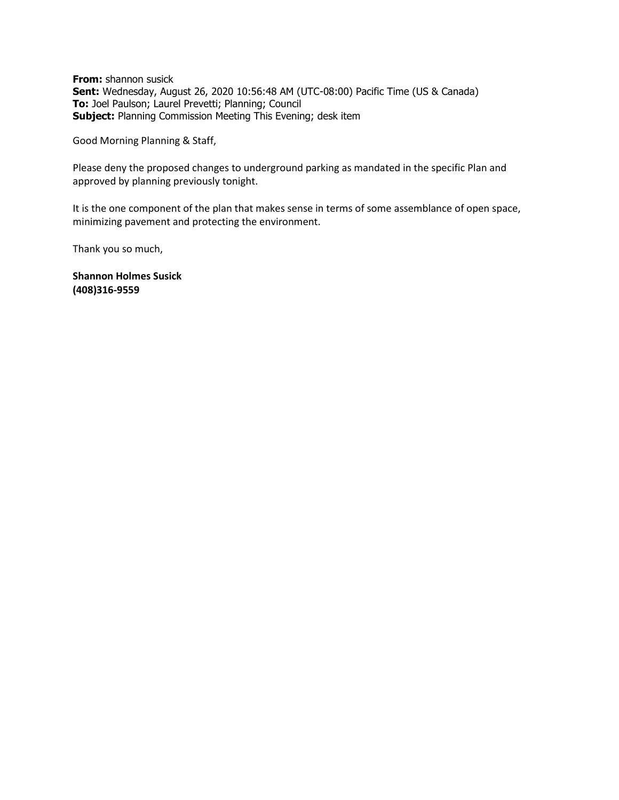**From:** shannon susick **Sent:** Wednesday, August 26, 2020 10:56:48 AM (UTC-08:00) Pacific Time (US & Canada) **To:** Joel Paulson; Laurel Prevetti; Planning; Council **Subject:** Planning Commission Meeting This Evening; desk item

Good Morning Planning & Staff,

Please deny the proposed changes to underground parking as mandated in the specific Plan and approved by planning previously tonight.

It is the one component of the plan that makes sense in terms of some assemblance of open space, minimizing pavement and protecting the environment.

Thank you so much,

**Shannon Holmes Susick (408)316-9559**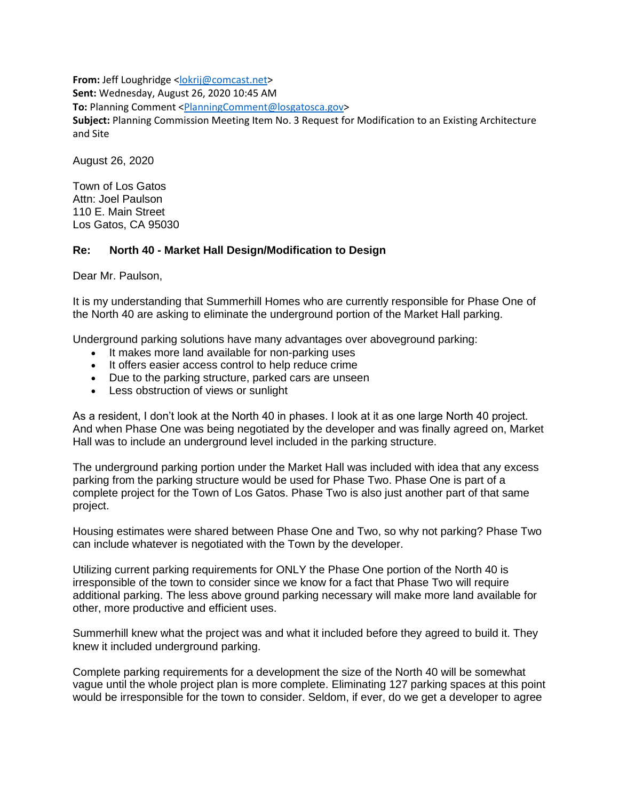**From:** Jeff Loughridge [<lokrij@comcast.net>](mailto:lokrij@comcast.net) **Sent:** Wednesday, August 26, 2020 10:45 AM **To:** Planning Comment [<PlanningComment@losgatosca.gov>](mailto:PlanningComment@losgatosca.gov) **Subject:** Planning Commission Meeting Item No. 3 Request for Modification to an Existing Architecture and Site

August 26, 2020

Town of Los Gatos Attn: Joel Paulson 110 E. Main Street Los Gatos, CA 95030

## **Re: North 40 - Market Hall Design/Modification to Design**

Dear Mr. Paulson,

It is my understanding that Summerhill Homes who are currently responsible for Phase One of the North 40 are asking to eliminate the underground portion of the Market Hall parking.

Underground parking solutions have many advantages over aboveground parking:

- It makes more land available for non-parking uses
- It offers easier access control to help reduce crime
- Due to the parking structure, parked cars are unseen
- Less obstruction of views or sunlight

As a resident, I don't look at the North 40 in phases. I look at it as one large North 40 project. And when Phase One was being negotiated by the developer and was finally agreed on, Market Hall was to include an underground level included in the parking structure.

The underground parking portion under the Market Hall was included with idea that any excess parking from the parking structure would be used for Phase Two. Phase One is part of a complete project for the Town of Los Gatos. Phase Two is also just another part of that same project.

Housing estimates were shared between Phase One and Two, so why not parking? Phase Two can include whatever is negotiated with the Town by the developer.

Utilizing current parking requirements for ONLY the Phase One portion of the North 40 is irresponsible of the town to consider since we know for a fact that Phase Two will require additional parking. The less above ground parking necessary will make more land available for other, more productive and efficient uses.

Summerhill knew what the project was and what it included before they agreed to build it. They knew it included underground parking.

Complete parking requirements for a development the size of the North 40 will be somewhat vague until the whole project plan is more complete. Eliminating 127 parking spaces at this point would be irresponsible for the town to consider. Seldom, if ever, do we get a developer to agree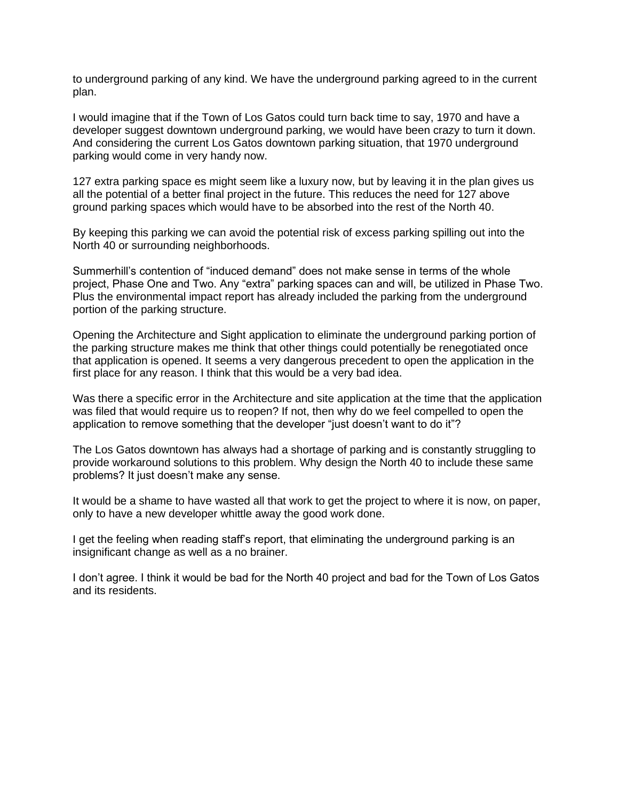to underground parking of any kind. We have the underground parking agreed to in the current plan.

I would imagine that if the Town of Los Gatos could turn back time to say, 1970 and have a developer suggest downtown underground parking, we would have been crazy to turn it down. And considering the current Los Gatos downtown parking situation, that 1970 underground parking would come in very handy now.

127 extra parking space es might seem like a luxury now, but by leaving it in the plan gives us all the potential of a better final project in the future. This reduces the need for 127 above ground parking spaces which would have to be absorbed into the rest of the North 40.

By keeping this parking we can avoid the potential risk of excess parking spilling out into the North 40 or surrounding neighborhoods.

Summerhill's contention of "induced demand" does not make sense in terms of the whole project, Phase One and Two. Any "extra" parking spaces can and will, be utilized in Phase Two. Plus the environmental impact report has already included the parking from the underground portion of the parking structure.

Opening the Architecture and Sight application to eliminate the underground parking portion of the parking structure makes me think that other things could potentially be renegotiated once that application is opened. It seems a very dangerous precedent to open the application in the first place for any reason. I think that this would be a very bad idea.

Was there a specific error in the Architecture and site application at the time that the application was filed that would require us to reopen? If not, then why do we feel compelled to open the application to remove something that the developer "just doesn't want to do it"?

The Los Gatos downtown has always had a shortage of parking and is constantly struggling to provide workaround solutions to this problem. Why design the North 40 to include these same problems? It just doesn't make any sense.

It would be a shame to have wasted all that work to get the project to where it is now, on paper, only to have a new developer whittle away the good work done.

I get the feeling when reading staff's report, that eliminating the underground parking is an insignificant change as well as a no brainer.

I don't agree. I think it would be bad for the North 40 project and bad for the Town of Los Gatos and its residents.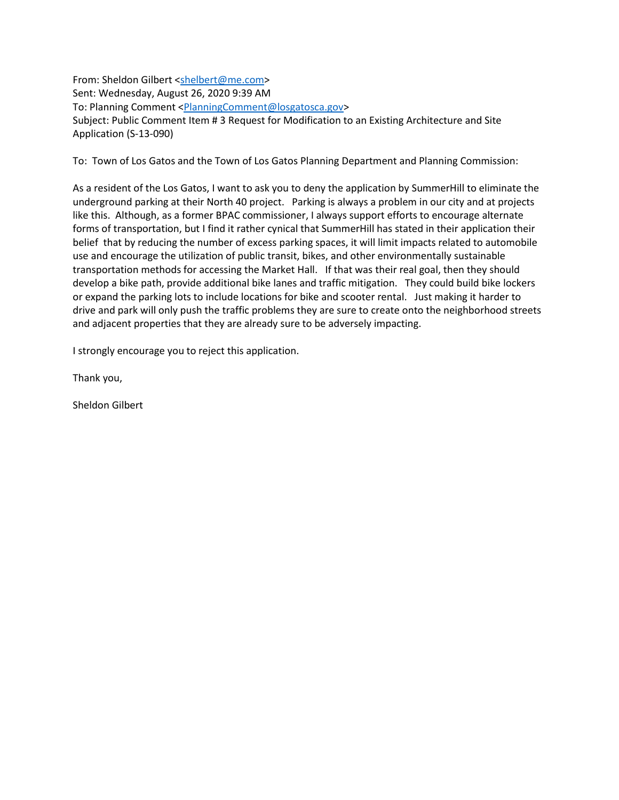From: Sheldon Gilbert [<shelbert@me.com>](mailto:shelbert@me.com) Sent: Wednesday, August 26, 2020 9:39 AM To: Planning Comment [<PlanningComment@losgatosca.gov>](mailto:PlanningComment@losgatosca.gov) Subject: Public Comment Item # 3 Request for Modification to an Existing Architecture and Site Application (S-13-090)

To: Town of Los Gatos and the Town of Los Gatos Planning Department and Planning Commission:

As a resident of the Los Gatos, I want to ask you to deny the application by SummerHill to eliminate the underground parking at their North 40 project. Parking is always a problem in our city and at projects like this. Although, as a former BPAC commissioner, I always support efforts to encourage alternate forms of transportation, but I find it rather cynical that SummerHill has stated in their application their belief that by reducing the number of excess parking spaces, it will limit impacts related to automobile use and encourage the utilization of public transit, bikes, and other environmentally sustainable transportation methods for accessing the Market Hall. If that was their real goal, then they should develop a bike path, provide additional bike lanes and traffic mitigation. They could build bike lockers or expand the parking lots to include locations for bike and scooter rental. Just making it harder to drive and park will only push the traffic problems they are sure to create onto the neighborhood streets and adjacent properties that they are already sure to be adversely impacting.

I strongly encourage you to reject this application.

Thank you,

Sheldon Gilbert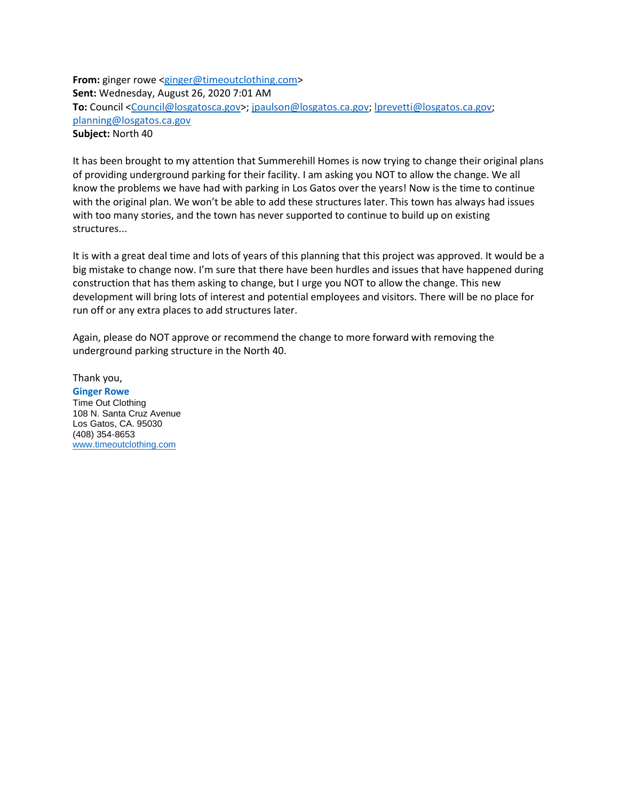**From:** ginger rowe [<ginger@timeoutclothing.com>](mailto:ginger@timeoutclothing.com) **Sent:** Wednesday, August 26, 2020 7:01 AM **To:** Council [<Council@losgatosca.gov>](mailto:Council@losgatosca.gov); [jpaulson@losgatos.ca.gov;](mailto:jpaulson@losgatos.ca.gov) [lprevetti@losgatos.ca.gov;](mailto:lprevetti@losgatos.ca.gov) [planning@losgatos.ca.gov](mailto:planning@losgatos.ca.gov) **Subject:** North 40

It has been brought to my attention that Summerehill Homes is now trying to change their original plans of providing underground parking for their facility. I am asking you NOT to allow the change. We all know the problems we have had with parking in Los Gatos over the years! Now is the time to continue with the original plan. We won't be able to add these structures later. This town has always had issues with too many stories, and the town has never supported to continue to build up on existing structures...

It is with a great deal time and lots of years of this planning that this project was approved. It would be a big mistake to change now. I'm sure that there have been hurdles and issues that have happened during construction that has them asking to change, but I urge you NOT to allow the change. This new development will bring lots of interest and potential employees and visitors. There will be no place for run off or any extra places to add structures later.

Again, please do NOT approve or recommend the change to more forward with removing the underground parking structure in the North 40.

Thank you, **Ginger Rowe** Time Out Clothing 108 N. Santa Cruz Avenue Los Gatos, CA. 95030 (408) 354-8653 [www.timeoutclothing.com](http://www.timeoutclothing.com/)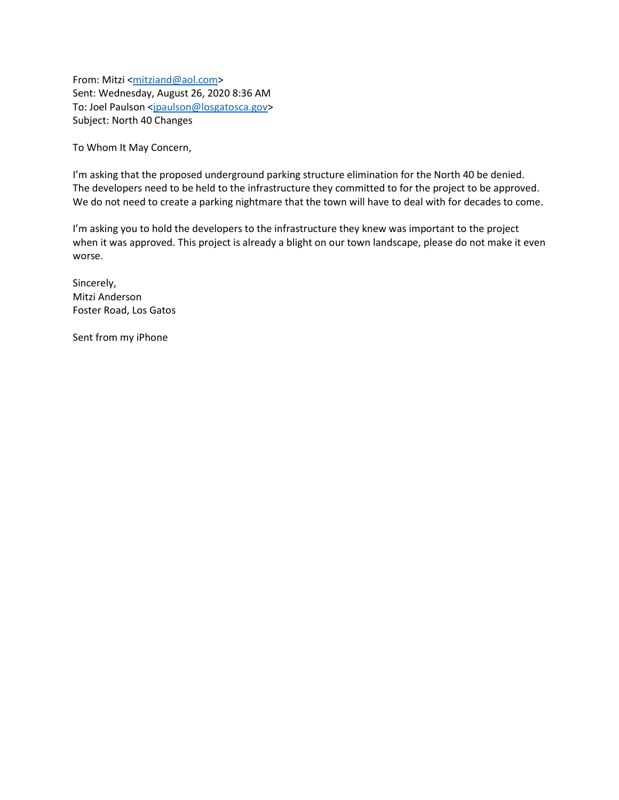From: Mitzi [<mitziand@aol.com>](mailto:mitziand@aol.com) Sent: Wednesday, August 26, 2020 8:36 AM To: Joel Paulson [<jpaulson@losgatosca.gov>](mailto:jpaulson@losgatosca.gov) Subject: North 40 Changes

To Whom It May Concern,

I'm asking that the proposed underground parking structure elimination for the North 40 be denied. The developers need to be held to the infrastructure they committed to for the project to be approved. We do not need to create a parking nightmare that the town will have to deal with for decades to come.

I'm asking you to hold the developers to the infrastructure they knew was important to the project when it was approved. This project is already a blight on our town landscape, please do not make it even worse.

Sincerely, Mitzi Anderson Foster Road, Los Gatos

Sent from my iPhone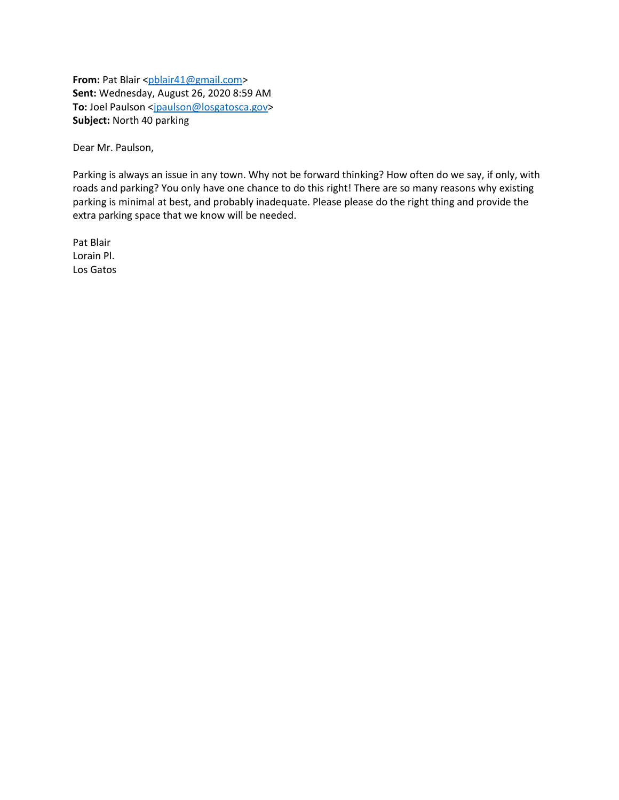**From:** Pat Blair [<pblair41@gmail.com>](mailto:pblair41@gmail.com) **Sent:** Wednesday, August 26, 2020 8:59 AM To: Joel Paulson [<jpaulson@losgatosca.gov>](mailto:jpaulson@losgatosca.gov) **Subject:** North 40 parking

Dear Mr. Paulson,

Parking is always an issue in any town. Why not be forward thinking? How often do we say, if only, with roads and parking? You only have one chance to do this right! There are so many reasons why existing parking is minimal at best, and probably inadequate. Please please do the right thing and provide the extra parking space that we know will be needed.

Pat Blair Lorain Pl. Los Gatos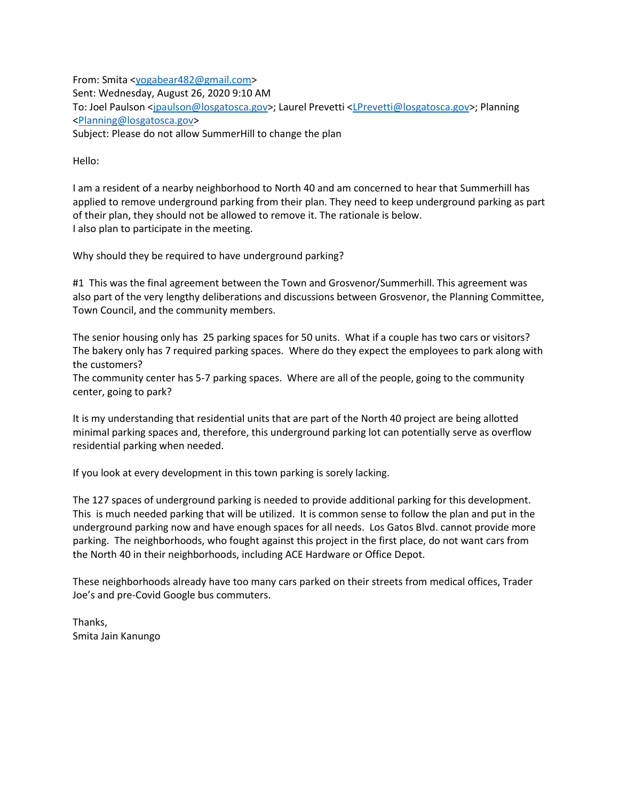From: Smita [<yogabear482@gmail.com>](mailto:yogabear482@gmail.com) Sent: Wednesday, August 26, 2020 9:10 AM To: Joel Paulson [<jpaulson@losgatosca.gov>](mailto:jpaulson@losgatosca.gov); Laurel Prevetti [<LPrevetti@losgatosca.gov>](mailto:LPrevetti@losgatosca.gov); Planning [<Planning@losgatosca.gov>](mailto:Planning@losgatosca.gov) Subject: Please do not allow SummerHill to change the plan

Hello:

I am a resident of a nearby neighborhood to North 40 and am concerned to hear that Summerhill has applied to remove underground parking from their plan. They need to keep underground parking as part of their plan, they should not be allowed to remove it. The rationale is below. I also plan to participate in the meeting.

Why should they be required to have underground parking?

#1 This was the final agreement between the Town and Grosvenor/Summerhill. This agreement was also part of the very lengthy deliberations and discussions between Grosvenor, the Planning Committee, Town Council, and the community members.

The senior housing only has 25 parking spaces for 50 units. What if a couple has two cars or visitors? The bakery only has 7 required parking spaces. Where do they expect the employees to park along with the customers?

The community center has 5-7 parking spaces. Where are all of the people, going to the community center, going to park?

It is my understanding that residential units that are part of the North 40 project are being allotted minimal parking spaces and, therefore, this underground parking lot can potentially serve as overflow residential parking when needed.

If you look at every development in this town parking is sorely lacking.

The 127 spaces of underground parking is needed to provide additional parking for this development. This is much needed parking that will be utilized. It is common sense to follow the plan and put in the underground parking now and have enough spaces for all needs. Los Gatos Blvd. cannot provide more parking. The neighborhoods, who fought against this project in the first place, do not want cars from the North 40 in their neighborhoods, including ACE Hardware or Office Depot.

These neighborhoods already have too many cars parked on their streets from medical offices, Trader Joe's and pre-Covid Google bus commuters.

Thanks, Smita Jain Kanungo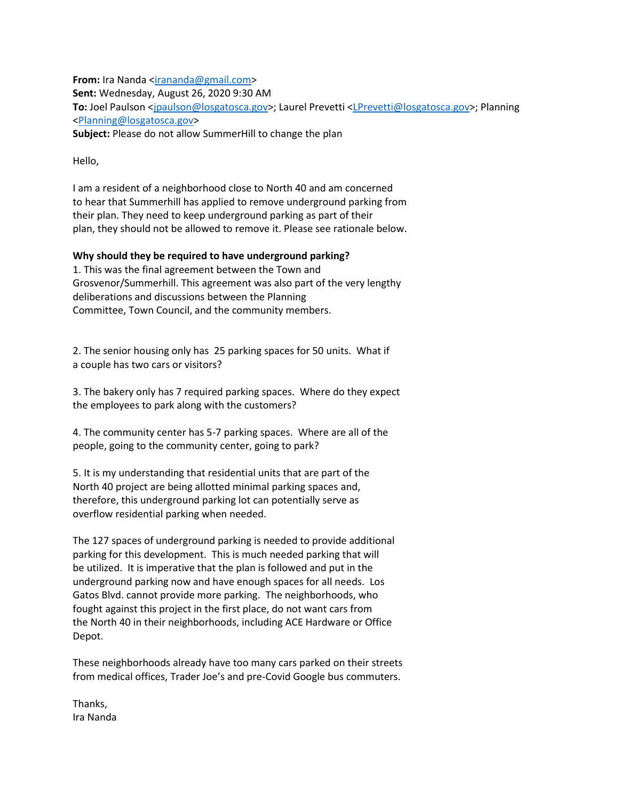**From:** Ira Nanda [<irananda@gmail.com>](mailto:irananda@gmail.com) **Sent:** Wednesday, August 26, 2020 9:30 AM **To:** Joel Paulson [<jpaulson@losgatosca.gov>](mailto:jpaulson@losgatosca.gov); Laurel Prevetti [<LPrevetti@losgatosca.gov>](mailto:LPrevetti@losgatosca.gov); Planning [<Planning@losgatosca.gov>](mailto:Planning@losgatosca.gov) **Subject:** Please do not allow SummerHill to change the plan

Hello,

I am a resident of a neighborhood close to North 40 and am concerned to hear that Summerhill has applied to remove underground parking from their plan. They need to keep underground parking as part of their plan, they should not be allowed to remove it. Please see rationale below.

## **Why should they be required to have underground parking?**

1. This was the final agreement between the Town and Grosvenor/Summerhill. This agreement was also part of the very lengthy deliberations and discussions between the Planning Committee, Town Council, and the community members.

2. The senior housing only has 25 parking spaces for 50 units. What if a couple has two cars or visitors?

3. The bakery only has 7 required parking spaces. Where do they expect the employees to park along with the customers?

4. The community center has 5-7 parking spaces. Where are all of the people, going to the community center, going to park?

5. It is my understanding that residential units that are part of the North 40 project are being allotted minimal parking spaces and, therefore, this underground parking lot can potentially serve as overflow residential parking when needed.

The 127 spaces of underground parking is needed to provide additional parking for this development. This is much needed parking that will be utilized. It is imperative that the plan is followed and put in the underground parking now and have enough spaces for all needs. Los Gatos Blvd. cannot provide more parking. The neighborhoods, who fought against this project in the first place, do not want cars from the North 40 in their neighborhoods, including ACE Hardware or Office Depot.

These neighborhoods already have too many cars parked on their streets from medical offices, Trader Joe's and pre-Covid Google bus commuters.

Thanks, Ira Nanda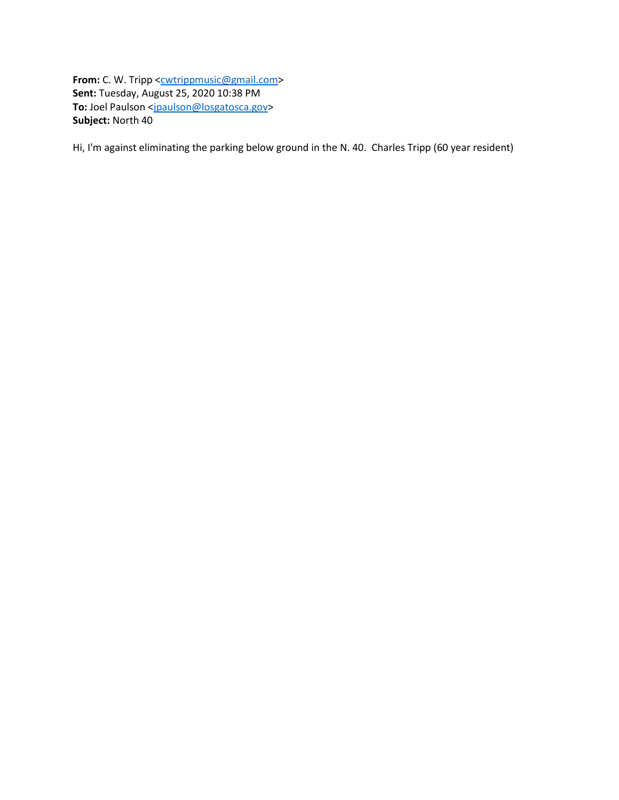**From:** C. W. Tripp [<cwtrippmusic@gmail.com>](mailto:cwtrippmusic@gmail.com) **Sent:** Tuesday, August 25, 2020 10:38 PM To: Joel Paulson [<jpaulson@losgatosca.gov>](mailto:jpaulson@losgatosca.gov) **Subject:** North 40

Hi, I'm against eliminating the parking below ground in the N. 40. Charles Tripp (60 year resident)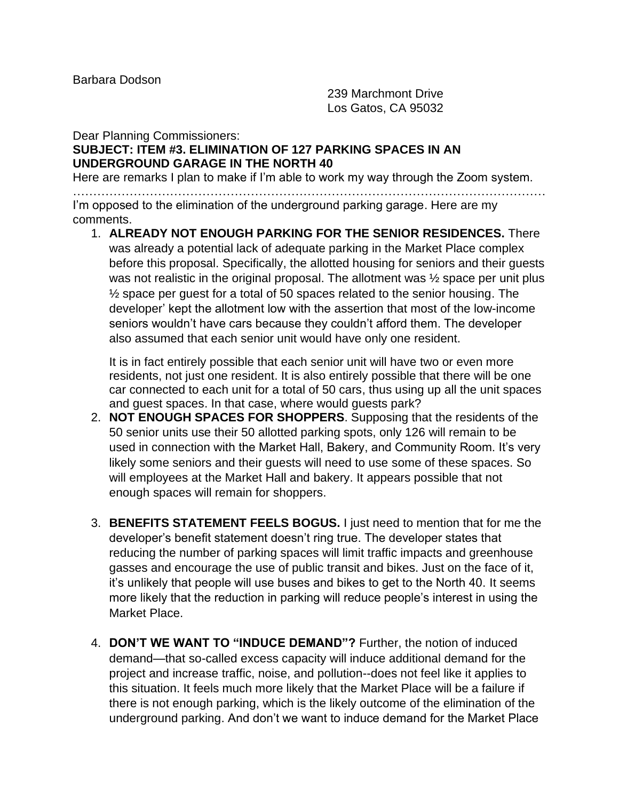Barbara Dodson

239 Marchmont Drive Los Gatos, CA 95032

## Dear Planning Commissioners: **SUBJECT: ITEM #3. ELIMINATION OF 127 PARKING SPACES IN AN UNDERGROUND GARAGE IN THE NORTH 40**

Here are remarks I plan to make if I'm able to work my way through the Zoom system.

……………………………………………………………………………………………………… I'm opposed to the elimination of the underground parking garage. Here are my comments.

1. **ALREADY NOT ENOUGH PARKING FOR THE SENIOR RESIDENCES.** There was already a potential lack of adequate parking in the Market Place complex before this proposal. Specifically, the allotted housing for seniors and their guests was not realistic in the original proposal. The allotment was  $\frac{1}{2}$  space per unit plus ½ space per guest for a total of 50 spaces related to the senior housing. The developer' kept the allotment low with the assertion that most of the low-income seniors wouldn't have cars because they couldn't afford them. The developer also assumed that each senior unit would have only one resident.

It is in fact entirely possible that each senior unit will have two or even more residents, not just one resident. It is also entirely possible that there will be one car connected to each unit for a total of 50 cars, thus using up all the unit spaces and guest spaces. In that case, where would guests park?

- 2. **NOT ENOUGH SPACES FOR SHOPPERS**. Supposing that the residents of the 50 senior units use their 50 allotted parking spots, only 126 will remain to be used in connection with the Market Hall, Bakery, and Community Room. It's very likely some seniors and their guests will need to use some of these spaces. So will employees at the Market Hall and bakery. It appears possible that not enough spaces will remain for shoppers.
- 3. **BENEFITS STATEMENT FEELS BOGUS.** I just need to mention that for me the developer's benefit statement doesn't ring true. The developer states that reducing the number of parking spaces will limit traffic impacts and greenhouse gasses and encourage the use of public transit and bikes. Just on the face of it, it's unlikely that people will use buses and bikes to get to the North 40. It seems more likely that the reduction in parking will reduce people's interest in using the Market Place.
- 4. **DON'T WE WANT TO "INDUCE DEMAND"?** Further, the notion of induced demand—that so-called excess capacity will induce additional demand for the project and increase traffic, noise, and pollution--does not feel like it applies to this situation. It feels much more likely that the Market Place will be a failure if there is not enough parking, which is the likely outcome of the elimination of the underground parking. And don't we want to induce demand for the Market Place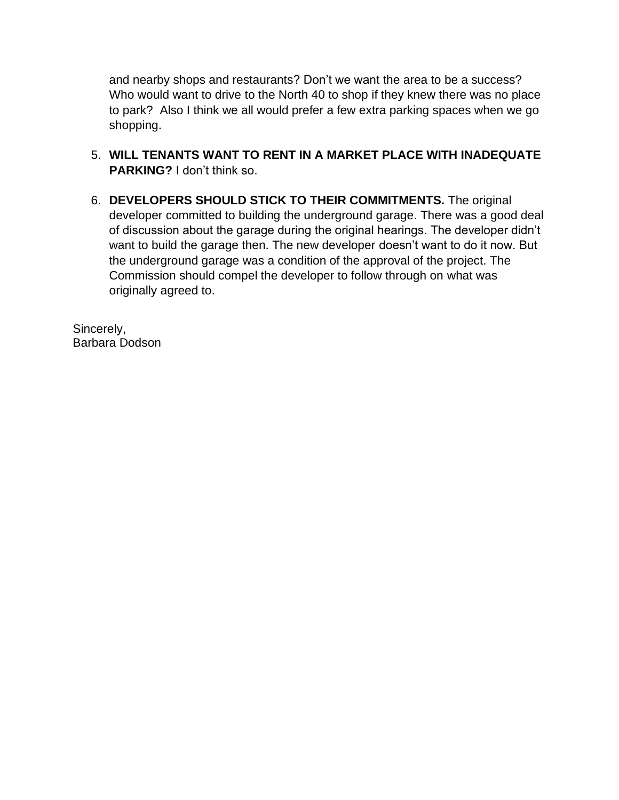and nearby shops and restaurants? Don't we want the area to be a success? Who would want to drive to the North 40 to shop if they knew there was no place to park? Also I think we all would prefer a few extra parking spaces when we go shopping.

- 5. **WILL TENANTS WANT TO RENT IN A MARKET PLACE WITH INADEQUATE PARKING?** I don't think so.
- 6. **DEVELOPERS SHOULD STICK TO THEIR COMMITMENTS.** The original developer committed to building the underground garage. There was a good deal of discussion about the garage during the original hearings. The developer didn't want to build the garage then. The new developer doesn't want to do it now. But the underground garage was a condition of the approval of the project. The Commission should compel the developer to follow through on what was originally agreed to.

Sincerely, Barbara Dodson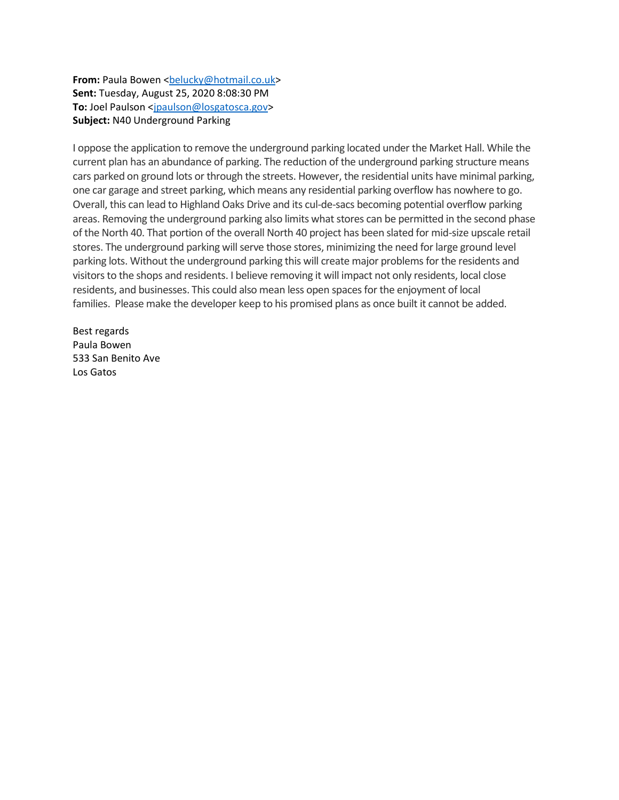**From:** Paula Bowen <br />
<u>belucky@hotmail.co.uk></u> **Sent:** Tuesday, August 25, 2020 8:08:30 PM **To:** Joel Paulson [<jpaulson@losgatosca.gov>](mailto:jpaulson@losgatosca.gov) **Subject:** N40 Underground Parking

I oppose the application to remove the underground parking located under the Market Hall. While the current plan has an abundance of parking. The reduction of the underground parking structure means cars parked on ground lots or through the streets. However, the residential units have minimal parking, one car garage and street parking, which means any residential parking overflow has nowhere to go. Overall, this can lead to Highland Oaks Drive and its cul-de-sacs becoming potential overflow parking areas. Removing the underground parking also limits what stores can be permitted in the second phase of the North 40. That portion of the overall North 40 project has been slated for mid-size upscale retail stores. The underground parking will serve those stores, minimizing the need for large ground level parking lots. Without the underground parking this will create major problems for the residents and visitors to the shops and residents. I believe removing it will impact not only residents, local close residents, and businesses. This could also mean less open spaces for the enjoyment of local families. Please make the developer keep to his promised plans as once built it cannot be added.

Best regards Paula Bowen 533 San Benito Ave Los Gatos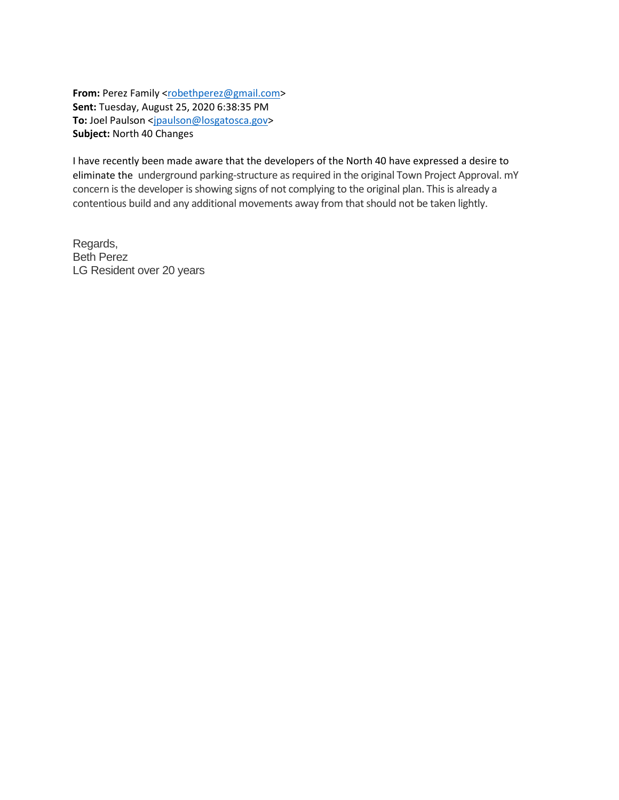From: Perez Family [<robethperez@gmail.com>](mailto:robethperez@gmail.com) **Sent:** Tuesday, August 25, 2020 6:38:35 PM To: Joel Paulson [<jpaulson@losgatosca.gov>](mailto:jpaulson@losgatosca.gov) **Subject:** North 40 Changes

I have recently been made aware that the developers of the North 40 have expressed a desire to eliminate the underground parking-structure as required in the original Town Project Approval. mY concern is the developer is showing signs of not complying to the original plan. This is already a contentious build and any additional movements away from that should not be taken lightly.

Regards, Beth Perez LG Resident over 20 years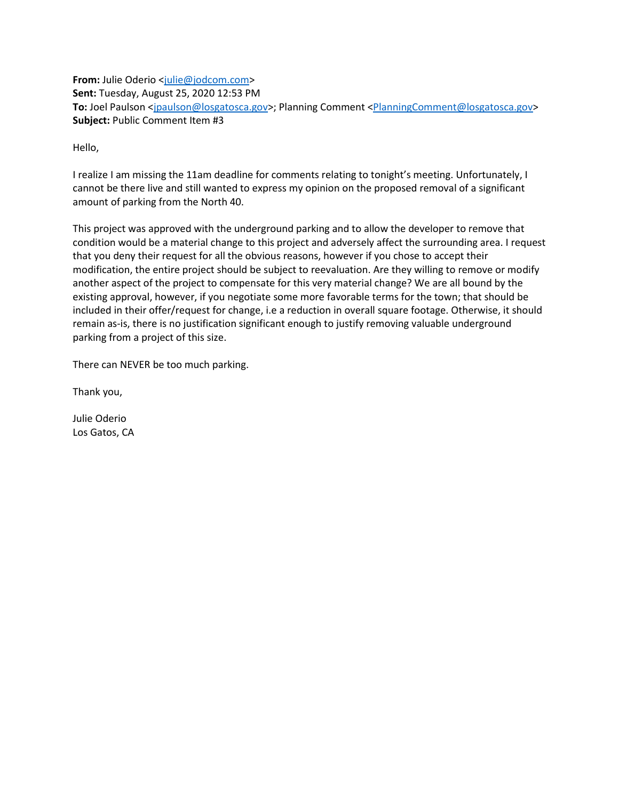**From:** Julie Oderio <*julie@jodcom.com>* **Sent:** Tuesday, August 25, 2020 12:53 PM To: Joel Paulson [<jpaulson@losgatosca.gov>](mailto:jpaulson@losgatosca.gov); Planning Comment [<PlanningComment@losgatosca.gov>](mailto:PlanningComment@losgatosca.gov) **Subject:** Public Comment Item #3

Hello,

I realize I am missing the 11am deadline for comments relating to tonight's meeting. Unfortunately, I cannot be there live and still wanted to express my opinion on the proposed removal of a significant amount of parking from the North 40.

This project was approved with the underground parking and to allow the developer to remove that condition would be a material change to this project and adversely affect the surrounding area. I request that you deny their request for all the obvious reasons, however if you chose to accept their modification, the entire project should be subject to reevaluation. Are they willing to remove or modify another aspect of the project to compensate for this very material change? We are all bound by the existing approval, however, if you negotiate some more favorable terms for the town; that should be included in their offer/request for change, i.e a reduction in overall square footage. Otherwise, it should remain as-is, there is no justification significant enough to justify removing valuable underground parking from a project of this size.

There can NEVER be too much parking.

Thank you,

Julie Oderio Los Gatos, CA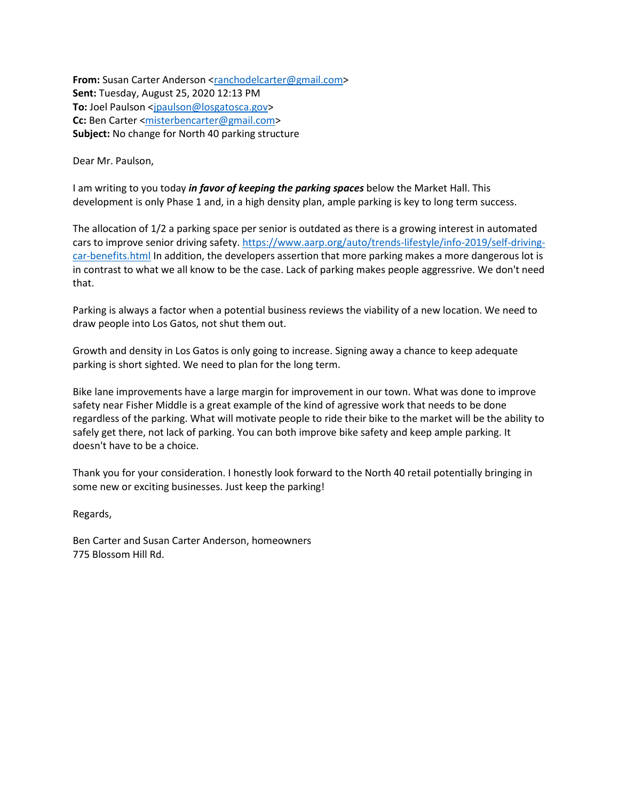**From:** Susan Carter Anderson [<ranchodelcarter@gmail.com>](mailto:ranchodelcarter@gmail.com) **Sent:** Tuesday, August 25, 2020 12:13 PM **To:** Joel Paulson [<jpaulson@losgatosca.gov>](mailto:jpaulson@losgatosca.gov) **Cc:** Ben Carter [<misterbencarter@gmail.com>](mailto:misterbencarter@gmail.com) **Subject:** No change for North 40 parking structure

Dear Mr. Paulson,

I am writing to you today *in favor of keeping the parking spaces* below the Market Hall. This development is only Phase 1 and, in a high density plan, ample parking is key to long term success.

The allocation of 1/2 a parking space per senior is outdated as there is a growing interest in automated cars to improve senior driving safety. [https://www.aarp.org/auto/trends-lifestyle/info-2019/self-driving](https://gcc02.safelinks.protection.outlook.com/?url=https%3A%2F%2Fwww.aarp.org%2Fauto%2Ftrends-lifestyle%2Finfo-2019%2Fself-driving-car-benefits.html&data=01%7C01%7Cjpaulson%40losgatosca.gov%7C75306665565047d7a77408d8492ae127%7C6d38cb6747eb4d139e7c523cd7ccecd5%7C1&sdata=VFz9w7yxAg%2Fsv8Oi5bBi2DLTvp6BTYgJor5Ayc3dO90%3D&reserved=0)[car-benefits.html](https://gcc02.safelinks.protection.outlook.com/?url=https%3A%2F%2Fwww.aarp.org%2Fauto%2Ftrends-lifestyle%2Finfo-2019%2Fself-driving-car-benefits.html&data=01%7C01%7Cjpaulson%40losgatosca.gov%7C75306665565047d7a77408d8492ae127%7C6d38cb6747eb4d139e7c523cd7ccecd5%7C1&sdata=VFz9w7yxAg%2Fsv8Oi5bBi2DLTvp6BTYgJor5Ayc3dO90%3D&reserved=0) In addition, the developers assertion that more parking makes a more dangerous lot is in contrast to what we all know to be the case. Lack of parking makes people aggressrive. We don't need that.

Parking is always a factor when a potential business reviews the viability of a new location. We need to draw people into Los Gatos, not shut them out.

Growth and density in Los Gatos is only going to increase. Signing away a chance to keep adequate parking is short sighted. We need to plan for the long term.

Bike lane improvements have a large margin for improvement in our town. What was done to improve safety near Fisher Middle is a great example of the kind of agressive work that needs to be done regardless of the parking. What will motivate people to ride their bike to the market will be the ability to safely get there, not lack of parking. You can both improve bike safety and keep ample parking. It doesn't have to be a choice.

Thank you for your consideration. I honestly look forward to the North 40 retail potentially bringing in some new or exciting businesses. Just keep the parking!

Regards,

Ben Carter and Susan Carter Anderson, homeowners 775 Blossom Hill Rd.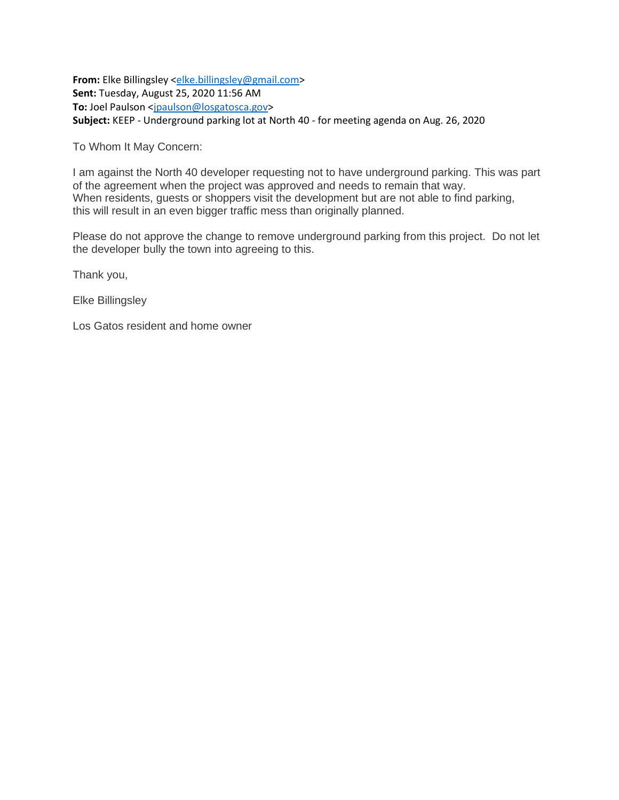**From:** Elke Billingsley [<elke.billingsley@gmail.com>](mailto:elke.billingsley@gmail.com) **Sent:** Tuesday, August 25, 2020 11:56 AM To: Joel Paulson [<jpaulson@losgatosca.gov>](mailto:jpaulson@losgatosca.gov) **Subject:** KEEP - Underground parking lot at North 40 - for meeting agenda on Aug. 26, 2020

To Whom It May Concern:

I am against the North 40 developer requesting not to have underground parking. This was part of the agreement when the project was approved and needs to remain that way. When residents, guests or shoppers visit the development but are not able to find parking, this will result in an even bigger traffic mess than originally planned.

Please do not approve the change to remove underground parking from this project. Do not let the developer bully the town into agreeing to this.

Thank you,

Elke Billingsley

Los Gatos resident and home owner